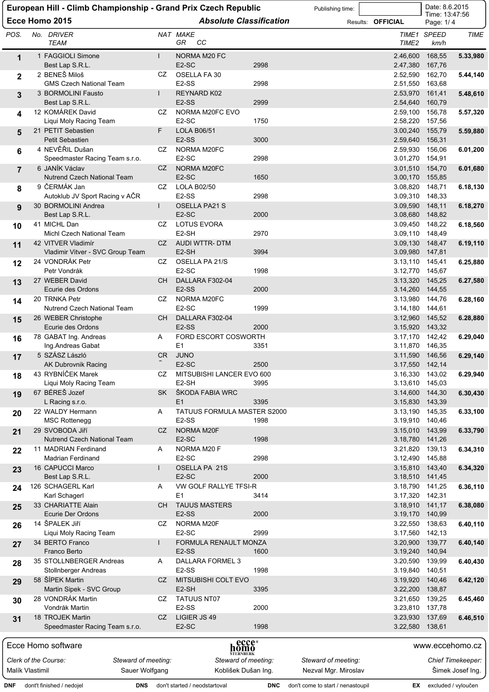|                 |                                                       |                     |     | European Hill - Climb Championship - Grand Prix Czech Republic |            | Publishing time:                  |                          | Date: 8.6.2015                     |                          |
|-----------------|-------------------------------------------------------|---------------------|-----|----------------------------------------------------------------|------------|-----------------------------------|--------------------------|------------------------------------|--------------------------|
|                 | Ecce Homo 2015                                        |                     |     | <b>Absolute Classification</b>                                 |            |                                   | Results: <b>OFFICIAL</b> | Time: 13:47:56<br>Page: 1/4        |                          |
| POS.            | No. DRIVER<br><b>TEAM</b>                             |                     |     | NAT MAKE<br>CC<br>GR                                           |            |                                   | TIME2                    | TIME1 SPEED<br>km/h                | TIME                     |
| 1               | 1 FAGGIOLI Simone<br>Best Lap S.R.L.                  |                     |     | NORMA M20 FC<br>E <sub>2</sub> -SC                             | 2998       |                                   | 2.46,600<br>2.47,380     | 168,55<br>167,76                   | 5.33,980                 |
| $\mathbf{2}$    | 2 BENEŠ Miloš<br><b>GMS Czech National Team</b>       |                     | CZ  | OSELLA FA 30<br>E <sub>2</sub> -SS                             | 2998       |                                   | 2.52,590<br>2.51,550     | 162,70<br>163,68                   | 5.44,140                 |
| 3               | 3 BORMOLINI Fausto<br>Best Lap S.R.L.                 | $\mathbf{I}$        |     | <b>REYNARD K02</b><br>E <sub>2</sub> -SS                       | 2999       |                                   | 2.53,970<br>2.54,640     | 161,41<br>160,79                   | 5.48,610                 |
| 4               | 12 KOMÁREK David<br>Liqui Moly Racing Team            |                     | CZ  | NORMA M20FC EVO<br>E <sub>2</sub> -SC                          | 1750       |                                   | 2.59,100<br>2.58,220     | 156,78<br>157,56                   | 5.57,320                 |
| 5               | 21 PETIT Sebastien<br>Petit Sebastien                 |                     | F   | <b>LOLA B06/51</b><br>E <sub>2</sub> -SS                       | 3000       |                                   | 2.59,640                 | 3.00,240 155,79<br>156,31          | 5.59,880                 |
| 6               | 4 NEVĚŘIL Dušan                                       |                     | CZ  | NORMA M20FC<br>E <sub>2</sub> -SC                              | 2998       |                                   | 2.59,930                 | 156,06                             | 6.01,200                 |
| $\overline{7}$  | Speedmaster Racing Team s.r.o.<br>6 JANÍK Václav      |                     | CZ. | NORMA M20FC                                                    |            |                                   |                          | 3.01,270 154,91<br>3.01,510 154,70 | 6.01,680                 |
| 8               | <b>Nutrend Czech National Team</b><br>9 ČERMÁK Jan    |                     | CZ  | E <sub>2</sub> -SC<br><b>LOLA B02/50</b>                       | 1650       |                                   |                          | 3.00,170 155,85<br>3.08.820 148.71 | 6.18,130                 |
|                 | Autoklub JV Sport Racing v AČR<br>30 BORMOLINI Andrea |                     | L   | E <sub>2</sub> -SS<br>OSELLA PA21 S                            | 2998       |                                   | 3.09,590                 | 3.09,310 148,33<br>148,11          | 6.18,270                 |
| 9               | Best Lap S.R.L.                                       |                     |     | E <sub>2</sub> -SC                                             | 2000       |                                   |                          | 3.08,680 148,82                    |                          |
| 10              | 41 MICHL Dan                                          |                     | CZ  | LOTUS EVORA<br>E2-SH                                           |            |                                   |                          | 3.09,450 148,22                    | 6.18,560                 |
| 11              | Michl Czech National Team<br>42 VITVER Vladimír       |                     | CZ  | AUDI WTTR- DTM                                                 | 2970       |                                   | 3.09,130                 | 3.09,110 148,49<br>148,47          | 6.19,110                 |
|                 | Vladimir Vitver - SVC Group Team<br>24 VONDRÁK Petr   |                     | CZ  | E <sub>2</sub> -SH<br>OSELLA PA 21/S                           | 3994       |                                   | 3.09,980                 | 147,81<br>3.13,110 145,41          | 6.25,880                 |
| 12              | Petr Vondrák                                          |                     |     | E <sub>2</sub> -SC                                             | 1998       |                                   |                          | 3.12,770 145,67                    |                          |
| 13              | 27 WEBER David<br>Ecurie des Ordons                   |                     | CH. | DALLARA F302-04<br>E <sub>2</sub> -SS                          | 2000       |                                   | 3.13,320<br>3.14,260     | 145,25<br>144,55                   | 6.27,580                 |
| 14              | 20 TRNKA Petr<br>Nutrend Czech National Team          |                     | CZ  | NORMA M20FC<br>E <sub>2</sub> -SC                              | 1999       |                                   | 3.13,980                 | 144,76<br>3.14,180 144,61          | 6.28,160                 |
| 15              | 26 WEBER Christophe<br>Ecurie des Ordons              |                     | CH  | DALLARA F302-04<br>E <sub>2</sub> -SS                          | 2000       |                                   |                          | 3.12,960 145,52<br>3.15,920 143,32 | 6.28,880                 |
| 16              | 78 GABAT Ing. Andreas                                 |                     | A   | FORD ESCORT COSWORTH                                           |            |                                   |                          | 3.17,170 142,42                    | 6.29,040                 |
| 17              | Ing.Andreas Gabat<br>5 SZÁSZ László                   |                     | CR. | E <sub>1</sub><br><b>JUNO</b>                                  | 3351       |                                   |                          | 3.11,870 146,35<br>3.11,590 146,56 | 6.29,140                 |
| 18              | AK Dubrovnik Racing<br>43 RYBNÍČEK Marek              |                     | CZ  | E <sub>2</sub> -SC<br>MITSUBISHI LANCER EVO 600                | 2500       |                                   |                          | 3.17,550 142,14<br>3.16,330 143,02 | 6.29,940                 |
|                 | Liqui Moly Racing Team                                |                     |     | E <sub>2</sub> -SH                                             | 3995       |                                   |                          | 3.13,610 145,03                    |                          |
| 19              | 67 BÉREŠ Jozef<br>L Racing s.r.o.                     |                     | SK  | ŠKODA FABIA WRC<br>E1                                          | 3395       |                                   | 3.14,600                 | 144,30<br>3.15,830 143,39          | 6.30,430                 |
| 20              | 22 WALDY Hermann<br><b>MSC Rottenegg</b>              |                     | A   | TATUUS FORMULA MASTER S2000<br>E <sub>2</sub> -SS              | 1998       |                                   |                          | 3.13,190 145,35<br>3.19,910 140,46 | 6.33,100                 |
| 21              | 29 SVOBODA Jiří<br><b>Nutrend Czech National Team</b> |                     | CZ  | NORMA M20F<br>E <sub>2</sub> -SC                               | 1998       |                                   | 3.15,010<br>3.18,780     | 143,99<br>141,26                   | 6.33,790                 |
| 22              | 11 MADRIAN Ferdinand                                  |                     | A   | NORMA M20 F                                                    |            |                                   |                          | 3.21,820 139,13                    | 6.34,310                 |
| 23              | <b>Madrian Ferdinand</b><br>16 CAPUCCI Marco          |                     |     | E <sub>2</sub> -SC<br>OSELLA PA 21S                            | 2998       |                                   |                          | 3.12,490 145,88<br>3.15,810 143,40 | 6.34,320                 |
|                 | Best Lap S.R.L.<br>126 SCHAGERL Karl                  |                     | Α   | E <sub>2</sub> -SC<br>VW GOLF RALLYE TFSI-R                    | 2000       |                                   | 3.18,790                 | 3.18,510 141,45<br>141,25          | 6.36,110                 |
| 24              | Karl Schagerl                                         |                     |     | E1                                                             | 3414       |                                   |                          | 3.17,320 142,31                    |                          |
| 25              | 33 CHARIATTE Alain<br>Ecurie Der Ordons               |                     | CН  | <b>TAUUS MASTERS</b><br>E <sub>2</sub> -SS                     | 2000       |                                   |                          | 3.18,910 141,17<br>3.19,170 140,99 | 6.38,080                 |
| 26              | 14 ŠPALEK Jiří<br>Liqui Moly Racing Team              |                     | CZ  | NORMA M20F<br>E <sub>2</sub> -SC                               | 2999       |                                   |                          | 3.22,550 138,63<br>3.17,560 142,13 | 6.40,110                 |
| 27              | 34 BERTO Franco<br>Franco Berto                       |                     |     | FORMULA RENAULT MONZA<br>E <sub>2</sub> -SS                    | 1600       |                                   | 3.20,900<br>3.19,240     | 139,77<br>140,94                   | 6.40,140                 |
| 28              | 35 STOLLNBERGER Andreas                               |                     | Α   | DALLARA FORMEL 3                                               |            |                                   |                          | 3.20,590 139,99                    | 6.40,430                 |
| 29              | Stollnberger Andreas<br>58 ŠÍPEK Martin               |                     | CZ  | E <sub>2</sub> -SS<br>MITSUBISHI COLT EVO                      | 1998       |                                   | 3.19,840                 | 140,51<br>3.19,920 140,46          | 6.42,120                 |
| 30              | Martin Sipek - SVC Group<br>28 VONDRÁK Martin         |                     | CZ  | E2-SH<br>TATUUS NT07                                           | 3395       |                                   |                          | 3.22,200 138,87<br>3.21,650 139,25 | 6.45,460                 |
|                 | Vondrák Martin                                        |                     |     | E2-SS                                                          | 2000       |                                   |                          | 3.23,810 137,78                    |                          |
| 31              | 18 TROJEK Martin<br>Speedmaster Racing Team s.r.o.    |                     | CZ  | LIGIER JS 49<br>E <sub>2</sub> -SC                             | 1998       |                                   |                          | 3.23,930 137,69<br>3.22,580 138,61 | 6.46,510                 |
|                 | Ecce Homo software                                    |                     |     | homo<br>homo                                                   |            |                                   |                          | www.eccehomo.cz                    |                          |
|                 | Clerk of the Course:                                  | Steward of meeting: |     | <b>ŠTERNBERK</b><br>Steward of meeting:                        |            | Steward of meeting:               |                          |                                    | <b>Chief Timekeeper:</b> |
| Malík Vlastimil |                                                       | Sauer Wolfgang      |     | Koblišek Dušan Ing.                                            |            | Nezval Mgr. Miroslav              |                          |                                    | Šimek Josef Ing.         |
| DNF             | dont't finished / nedojel                             |                     |     | DNS don't started / neodstartoval                              | <b>DNC</b> | don't come to start / nenastoupil |                          | EX excluded / vyloučen             |                          |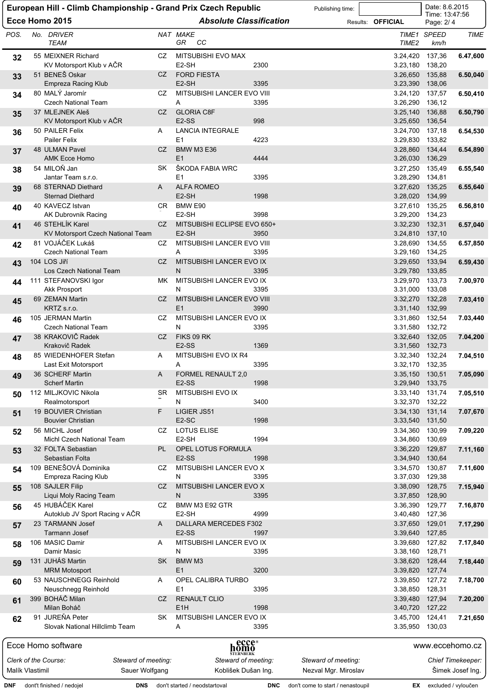|                 | European Hill - Climb Championship - Grand Prix Czech Republic |                     |                                                   |            | Publishing time:                  |                                    | Date: 8.6.2015              |                          |
|-----------------|----------------------------------------------------------------|---------------------|---------------------------------------------------|------------|-----------------------------------|------------------------------------|-----------------------------|--------------------------|
|                 | Ecce Homo 2015                                                 |                     | <b>Absolute Classification</b>                    |            |                                   | Results: <b>OFFICIAL</b>           | Time: 13:47:56<br>Page: 2/4 |                          |
| POS.            | No. DRIVER<br><b>TEAM</b>                                      |                     | NAT MAKE<br>CC<br>GR.                             |            |                                   | TIME <sub>2</sub>                  | TIME1 SPEED<br>km/h         | TIME                     |
| 32              | 55 MEIXNER Richard<br>KV Motorsport Klub v AČR                 | CZ                  | MITSUBISHI EVO MAX<br>E <sub>2</sub> -SH          | 2300       |                                   | 3.24,420<br>3.23,180               | 137,36<br>138,20            | 6.47,600                 |
| 33              | 51 BENEŠ Oskar<br>Empreza Racing Klub                          | CZ                  | <b>FORD FIESTA</b><br>E <sub>2</sub> -SH          | 3395       |                                   | 3.26,650<br>3.23,390               | 135,88<br>138,06            | 6.50,040                 |
| 34              | 80 MALÝ Jaromír<br><b>Czech National Team</b>                  | CZ                  | MITSUBISHI LANCER EVO VIII<br>Α                   | 3395       |                                   | 3.24,120<br>3.26,290               | 137,57<br>136,12            | 6.50,410                 |
| 35              | 37 MLEJNEK Aleš<br>KV Motorsport Klub v AČR                    | CZ                  | <b>GLORIA C8F</b><br>E <sub>2</sub> -SS           | 998        |                                   | 3.25,140<br>3.25,650               | 136,88<br>136,54            | 6.50,790                 |
| 36              | 50 PAILER Felix<br><b>Pailer Felix</b>                         | A                   | <b>LANCIA INTEGRALE</b><br>E1                     | 4223       |                                   | 3.24,700<br>3.29,830               | 137,18<br>133,82            | 6.54,530                 |
| 37              | 48 ULMAN Pavel<br><b>AMK Ecce Homo</b>                         | CZ                  | <b>BMW M3 E36</b><br>E1                           | 4444       |                                   | 3.28,860<br>3.26,030               | 134,44<br>136,29            | 6.54,890                 |
| 38              | 54 MILOŇ Jan<br>Jantar Team s.r.o.                             | <b>SK</b>           | ŠKODA FABIA WRC<br>E1                             | 3395       |                                   | 3.27,250<br>3.28,290               | 135,49<br>134,81            | 6.55,540                 |
| 39              | 68 STERNAD Diethard                                            | A                   | <b>ALFA ROMEO</b>                                 |            |                                   | 3.27,620                           | 135,25                      | 6.55,640                 |
| 40              | <b>Sternad Diethard</b><br>40 KAVECZ Istvan                    | CR.                 | E2-SH<br>BMW E90                                  | 1998       |                                   | 3.28,020<br>3.27,610               | 134,99<br>135,25            | 6.56,810                 |
|                 | AK Dubrovnik Racing<br>46 STEHLIK Karel                        | CZ                  | E <sub>2</sub> -SH<br>MITSUBISHI ECLIPSE EVO 650+ | 3998       |                                   | 3.29,200 134,23<br>3.32,230 132,31 |                             | 6.57,040                 |
| 41              | KV Motorsport Czech National Team                              |                     | E <sub>2</sub> -SH                                | 3950       |                                   | 3.24,810 137,10                    |                             |                          |
| 42              | 81 VOJÁČEK Lukáš<br><b>Czech National Team</b>                 | CZ                  | MITSUBISHI LANCER EVO VIII<br>A                   | 3395       |                                   | 3.28,690<br>3.29,160 134,25        | 134,55                      | 6.57,850                 |
| 43              | 104 LOS Jiří<br>Los Czech National Team                        | CZ                  | MITSUBISHI LANCER EVO IX<br>N                     | 3395       |                                   | 3.29,650<br>3.29,780               | 133,94<br>133,85            | 6.59,430                 |
| 44              | 111 STEFANOVSKI Igor<br><b>Akk Prosport</b>                    | MK                  | MITSUBISHI LANCER EVO IX<br>N                     | 3395       |                                   | 3.29,970<br>3.31,000               | 133,73<br>133,08            | 7.00,970                 |
| 45              | 69 ZEMAN Martin<br>KRTZ s.r.o.                                 | CZ                  | MITSUBISHI LANCER EVO VIII<br>E1                  | 3990       |                                   | 3.32,270<br>3.31,140               | 132,28<br>132,99            | 7.03,410                 |
| 46              | 105 JERMAN Martin<br><b>Czech National Team</b>                | CZ                  | MITSUBISHI LANCER EVO IX<br>N                     | 3395       |                                   | 3.31,860<br>3.31,580               | 132,54<br>132,72            | 7.03,440                 |
| 47              | 38 KRAKOVIČ Radek<br>Krakovič Radek                            | CZ                  | FIKS 09 RK<br>E <sub>2</sub> -SS                  | 1369       |                                   | 3.32,640<br>3.31,560               | 132,05<br>132,73            | 7.04,200                 |
| 48              | 85 WIEDENHOFER Stefan                                          | A                   | MITSUBISHI EVO IX R4                              |            |                                   | 3.32,340                           | 132,24                      | 7.04,510                 |
| 49              | Last Exit Motorsport<br>36 SCHERF Martin                       | A                   | Α<br>FORMEL RENAULT 2,0                           | 3395       |                                   | 3.32,170 132,35<br>3.35,150 130,51 |                             | 7.05,090                 |
| 50              | <b>Scherf Martin</b><br>112 MILJKOVIC Nikola                   | SR                  | E <sub>2</sub> -SS<br>MITSUBISHI EVO IX           | 1998       |                                   | 3.29,940<br>3.33,140               | 133,75<br>131,74            | 7.05,510                 |
|                 | Realmotorsport<br>19 BOUVIER Christian                         | F.                  | N<br>LIGIER JS51                                  | 3400       |                                   | 3.32,370 132,22                    | 131,14                      |                          |
| 51              | <b>Bouvier Christian</b>                                       |                     | E <sub>2</sub> -SC                                | 1998       |                                   | 3.34,130<br>3.33,540               | 131,50                      | 7.07,670                 |
| 52              | 56 MICHL Josef<br>Michl Czech National Team                    | CZ.                 | <b>LOTUS ELISE</b><br>E <sub>2</sub> -SH          | 1994       |                                   | 3.34,360<br>3.34,860 130,69        | 130,99                      | 7.09,220                 |
| 53              | 32 FOLTA Sebastian<br>Sebastian Folta                          | PL                  | OPEL LOTUS FORMULA<br>E <sub>2</sub> -SS          | 1998       |                                   | 3.36,220<br>3.34,940               | 129,87<br>130,64            | 7.11,160                 |
| 54              | 109 BENEŠOVÁ Dominika                                          | CZ.                 | MITSUBISHI LANCER EVO X<br>Ν                      | 3395       |                                   | 3.34,570                           | 130,87                      | 7.11,600                 |
| 55              | Empreza Racing Klub<br>108 SAJLER Filip                        | CZ                  | MITSUBISHI LANCER EVO X                           |            |                                   | 3.37,030<br>3.38,090               | 129,38<br>128,75            | 7.15,940                 |
| 56              | Liqui Moly Racing Team<br>45 HUBÁČEK Karel                     | CZ                  | N<br>BMW M3 E92 GTR                               | 3395       |                                   | 3.37,850<br>3.36,390               | 128,90<br>129,77            | 7.16,870                 |
| 57              | Autoklub JV Sport Racing v ACR<br>23 TARMANN Josef             | A                   | E <sub>2</sub> -SH<br>DALLARA MERCEDES F302       | 4999       |                                   | 3.40,480<br>3.37,650               | 127,36<br>129,01            | 7.17,290                 |
| 58              | Tarmann Josef<br>106 MASIC Damir                               | A                   | $E2-SS$<br>MITSUBISHI LANCER EVO IX               | 1997       |                                   | 3.39,640<br>3.39,680 127,82        | 127,85                      | 7.17,840                 |
|                 | Damir Masic<br>131 JUHÁS Martin                                | <b>SK</b>           | N<br>BMW M3                                       | 3395       |                                   | 3.38,160<br>3.38,620               | 128,71<br>128,44            | 7.18,440                 |
| 59              | <b>MRM Motosport</b><br>53 NAUSCHNEGG Reinhold                 | A                   | E1<br>OPEL CALIBRA TURBO                          | 3200       |                                   | 3.39,820                           | 127,74                      |                          |
| 60              | Neuschnegg Reinhold                                            |                     | E1                                                | 3395       |                                   | 3.39,850<br>3.38,850 128,31        | 127,72                      | 7.18,700                 |
| 61              | 399 BOHÁČ Milan<br>Milan Boháč                                 | CZ                  | <b>RENAULT CLIO</b><br>E <sub>1</sub> H           | 1998       |                                   | 3.39,480<br>3.40,720 127,22        | 127,94                      | 7.20,200                 |
| 62              | 91 JUREŇA Peter<br>Slovak National Hillclimb Team              | <b>SK</b>           | MITSUBISHI LANCER EVO IX<br>Α                     | 3395       |                                   | 3.45,700 124,41<br>3.35,950 130,03 |                             | 7.21,650                 |
|                 | Ecce Homo software                                             |                     | <sub>h</sub> ecce®<br>homo                        |            |                                   |                                    | www.eccehomo.cz             |                          |
|                 | Clerk of the Course:                                           | Steward of meeting: | ŠTERNBERK<br>Steward of meeting:                  |            | Steward of meeting:               |                                    |                             | <b>Chief Timekeeper:</b> |
| Malík Vlastimil |                                                                | Sauer Wolfgang      | Koblišek Dušan Ing.                               |            | Nezval Mgr. Miroslav              |                                    |                             | Šimek Josef Ing.         |
| DNF             | dont't finished / nedojel                                      |                     | <b>DNS</b> don't started / neodstartoval          | <b>DNC</b> | don't come to start / nenastoupil |                                    | EX excluded / vyloučen      |                          |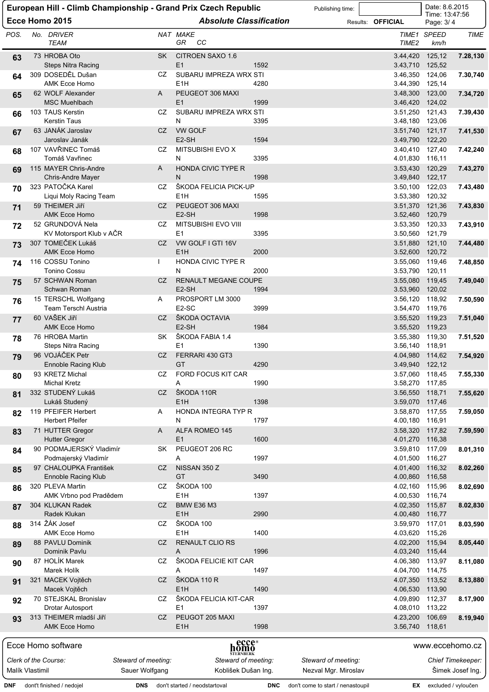| Date: 8.6.2015<br>European Hill - Climb Championship - Grand Prix Czech Republic<br>Publishing time:<br>Time: 13:47:56 |  |                                                    |                     |                                            |              |                                   |                             |                        |                          |
|------------------------------------------------------------------------------------------------------------------------|--|----------------------------------------------------|---------------------|--------------------------------------------|--------------|-----------------------------------|-----------------------------|------------------------|--------------------------|
|                                                                                                                        |  | Ecce Homo 2015                                     |                     | <b>Absolute Classification</b>             |              |                                   | Results: <b>OFFICIAL</b>    | Page: 3/4              |                          |
| POS.                                                                                                                   |  | No. DRIVER<br><b>TEAM</b>                          |                     | NAT MAKE<br>GR<br>CС                       |              |                                   | TIME <sub>2</sub>           | TIME1 SPEED<br>km/h    | TIME                     |
| 63                                                                                                                     |  | 73 HROBA Oto<br><b>Steps Nitra Racing</b>          | SK                  | CITROEN SAXO 1.6<br>E1                     | 1592         |                                   | 3.44,420<br>3.43,710        | 125,12<br>125,52       | 7.28,130                 |
| 64                                                                                                                     |  | 309 DOSEDĚL Dušan<br><b>AMK Ecce Homo</b>          | CZ                  | SUBARU IMPREZA WRX STI<br>E <sub>1</sub> H | 4280         |                                   | 3.46,350<br>3.44,390        | 124,06<br>125,14       | 7.30,740                 |
| 65                                                                                                                     |  | 62 WOLF Alexander<br>MSC Muehlbach                 | A                   | PEUGEOT 306 MAXI<br>E1                     | 1999         |                                   | 3.48,300<br>3.46,420        | 123,00<br>124,02       | 7.34,720                 |
| 66                                                                                                                     |  | 103 TAUS Kerstin<br><b>Kerstin Taus</b>            | CZ                  | SUBARU IMPREZA WRX STI<br>Ν                | 3395         |                                   | 3.51,250<br>3.48,180        | 121,43<br>123,06       | 7.39,430                 |
| 67                                                                                                                     |  | 63 JANÁK Jaroslav<br>Jaroslav Janák                | CZ                  | <b>VW GOLF</b><br>E <sub>2</sub> -SH       | 1594         |                                   | 3.51,740<br>3.49,790        | 121,17<br>122,20       | 7.41,530                 |
| 68                                                                                                                     |  | 107 VAVŘINEC Tomáš<br>Tomáš Vavřinec               | CZ                  | MITSUBISHI EVO X<br>N                      | 3395         |                                   | 3.40,410<br>4.01,830        | 127,40<br>116,11       | 7.42,240                 |
| 69                                                                                                                     |  | 115 MAYER Chris-Andre<br>Chris-Andre Mayer         | A                   | <b>HONDA CIVIC TYPE R</b><br>Ν             | 1998         |                                   | 3.53,430<br>3.49,840        | 120,29<br>122,17       | 7.43,270                 |
| 70                                                                                                                     |  | 323 PATOČKA Karel<br>Liqui Moly Racing Team        | CZ                  | ŠKODA FELICIA PICK-UP<br>E <sub>1</sub> H  | 1595         |                                   | 3.50,100<br>3.53,380        | 122,03<br>120,32       | 7.43,480                 |
| 71                                                                                                                     |  | 59 THEIMER JIří<br>AMK Ecce Homo                   | CZ                  | PEUGEOT 306 MAXI<br>E2-SH                  | 1998         |                                   | 3.51,370<br>3.52,460        | 121,36<br>120,79       | 7.43,830                 |
| 72                                                                                                                     |  | 52 GRUNDOVÁ Nela                                   | CZ                  | MITSUBISHI EVO VIII                        |              |                                   | 3.53,350                    | 120,33                 | 7.43,910                 |
| 73                                                                                                                     |  | KV Motorsport Klub v AČR<br>307 TOMEČEK Lukáš      | CZ                  | E1<br>VW GOLF I GTI 16V                    | 3395         |                                   | 3.50,560<br>3.51,880        | 121,79<br>121,10       | 7.44,480                 |
|                                                                                                                        |  | <b>AMK Ecce Homo</b><br>116 COSSU Tonino           |                     | E <sub>1</sub> H                           | 2000         |                                   | 3.52,600                    | 120,72                 |                          |
| 74                                                                                                                     |  | <b>Tonino Cossu</b>                                | L                   | HONDA CIVIC TYPE R<br>N                    | 2000         |                                   | 3.55,060<br>3.53,790        | 119,46<br>120,11       | 7.48,850                 |
| 75                                                                                                                     |  | 57 SCHWAN Roman<br>Schwan Roman                    | CZ                  | RENAULT MEGANE COUPE<br>E2-SH              | 1994         |                                   | 3.55,080<br>3.53,960        | 119,45<br>120,02       | 7.49,040                 |
| 76                                                                                                                     |  | 15 TERSCHL Wolfgang<br><b>Team Terschl Austria</b> | A                   | PROSPORT LM 3000<br>E <sub>2</sub> -SC     | 3999         |                                   | 3.56,120<br>3.54,470 119,76 | 118,92                 | 7.50,590                 |
| 77                                                                                                                     |  | 60 VAŠEK Jiří<br><b>AMK Ecce Homo</b>              | CZ                  | ŠKODA OCTAVIA<br>E <sub>2</sub> -SH        | 1984         |                                   | 3.55,520<br>3.55,520        | 119,23<br>119,23       | 7.51,040                 |
| 78                                                                                                                     |  | 76 HROBA Martin<br><b>Steps Nitra Racing</b>       | SK                  | ŠKODA FABIA 1.4<br>E1                      | 1390         |                                   | 3.55,380<br>3.56,140        | 119,30<br>118,91       | 7.51,520                 |
| 79                                                                                                                     |  | 96 VOJÁČEK Petr<br><b>Ennoble Racing Klub</b>      | CZ                  | FERRARI 430 GT3<br>GT                      | 4290         |                                   | 4.04,980<br>3.49,940        | 114,62<br>122,12       | 7.54,920                 |
| 80                                                                                                                     |  | 93 KRETZ Michal<br><b>Michal Kretz</b>             | CZ                  | FORD FOCUS KIT CAR<br>Α                    | 1990         |                                   | 3.57,060 118,45<br>3.58,270 | 117,85                 | 7.55,330                 |
| 81                                                                                                                     |  | 332 STUDENÝ Lukáš<br>Lukáš Studený                 | CZ                  | ŠKODA 110R<br>E <sub>1</sub> H             | 1398         |                                   | 3.56,550<br>3.59,070 117,46 | 118,71                 | 7.55,620                 |
| 82                                                                                                                     |  | 119 PFEIFER Herbert<br><b>Herbert Pfeifer</b>      | A                   | HONDA INTEGRA TYP R<br>N                   | 1797         |                                   | 3.58,870 117,55<br>4.00,180 | 116,91                 | 7.59,050                 |
| 83                                                                                                                     |  | 71 HUTTER Gregor<br><b>Hutter Gregor</b>           | A                   | ALFA ROMEO 145<br>E1                       | 1600         |                                   | 3.58,320<br>4.01,270        | 117,82<br>116,38       | 7.59,590                 |
| 84                                                                                                                     |  | 90 PODMAJERSKÝ Vladimír<br>Podmajerský Vladimír    | SK                  | PEUGEOT 206 RC<br>Α                        | 1997         |                                   | 3.59,810<br>4.01,500        | 117,09<br>116,27       | 8.01,310                 |
| 85                                                                                                                     |  | 97 CHALOUPKA František<br>Ennoble Racing Klub      | CZ                  | NISSAN 350 Z<br>GT                         | 3490         |                                   | 4.01,400<br>4.00,860        | 116,32<br>116,58       | 8.02,260                 |
| 86                                                                                                                     |  | 320 PLEVA Martin<br>AMK Vrbno pod Pradědem         | CZ                  | ŠKODA 100<br>E <sub>1</sub> H              | 1397         |                                   | 4.02,160<br>4.00,530 116,74 | 115,96                 | 8.02,690                 |
| 87                                                                                                                     |  | 304 KLUKAN Radek<br>Radek Klukan                   | CZ                  | BMW E36 M3<br>E <sub>1</sub> H             | 2990         |                                   | 4.02,350<br>4.00,480        | 115,87<br>116,77       | 8.02,830                 |
| 88                                                                                                                     |  | 314 ŽÁK Josef<br>AMK Ecce Homo                     | CZ                  | ŠKODA 100<br>E <sub>1</sub> H              | 1400         |                                   | 3.59,970<br>4.03,620        | 117,01<br>115,26       | 8.03,590                 |
| 89                                                                                                                     |  | 88 PAVLU Dominik<br>Dominik Pavlu                  | CZ                  | <b>RENAULT CLIO RS</b><br>A                | 1996         |                                   | 4.02,200<br>4.03,240        | 115,94<br>115,44       | 8.05,440                 |
| 90                                                                                                                     |  | 87 HOLÍK Marek<br>Marek Holík                      | CZ                  | ŠKODA FELICIE KIT CAR<br>A                 | 1497         |                                   | 4.06,380<br>4.04,700        | 113,97<br>114,75       | 8.11,080                 |
| 91                                                                                                                     |  | 321 MACEK Vojtěch<br>Macek Vojtěch                 | CZ                  | ŠKODA 110 R<br>E <sub>1</sub> H            | 1490         |                                   | 4.07,350<br>4.06,530        | 113,52<br>113,90       | 8.13,880                 |
| 92                                                                                                                     |  | 70 STEJSKAL Bronislav<br>Drotar Autosport          | CZ                  | ŠKODA FELICIA KIT-CAR<br>E1                | 1397         |                                   | 4.09,890 112,37<br>4.08,010 | 113,22                 | 8.17,900                 |
| 93                                                                                                                     |  | 313 THEIMER mladší Jiří<br><b>AMK Ecce Homo</b>    | CZ                  | PEUGOT 205 MAXI<br>E <sub>1</sub> H        | 1998         |                                   | 4.23,200<br>3.56,740 118,61 | 106,69                 | 8.19,940                 |
|                                                                                                                        |  | Ecce Homo software                                 |                     |                                            | homo<br>homo |                                   |                             |                        | www.eccehomo.cz          |
|                                                                                                                        |  | Clerk of the Course:                               | Steward of meeting: | <b>ŠTERNBERK</b><br>Steward of meeting:    |              | Steward of meeting:               |                             |                        | <b>Chief Timekeeper:</b> |
| Malík Vlastimil                                                                                                        |  |                                                    | Sauer Wolfgang      | Koblišek Dušan Ing.                        |              | Nezval Mgr. Miroslav              |                             |                        | Šimek Josef Ing.         |
| DNF                                                                                                                    |  | dont't finished / nedojel                          | <b>DNS</b>          | don't started / neodstartoval              | <b>DNC</b>   | don't come to start / nenastoupil |                             | EX excluded / vyloučen |                          |